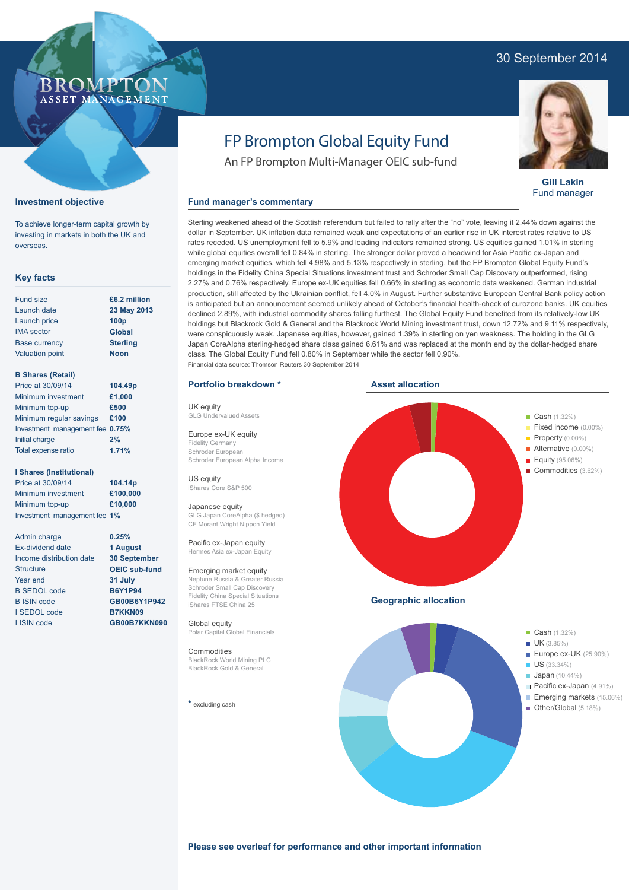## 30 September 2014



**Gill Lakin** Fund manager

# FP Brompton Global Equity Fund

An FP Brompton Multi-Manager OEIC sub-fund

#### **Fund manager's commentary**

Sterling weakened ahead of the Scottish referendum but failed to rally after the "no" vote, leaving it 2.44% down against the dollar in September. UK inflation data remained weak and expectations of an earlier rise in UK interest rates relative to US rates receded. US unemployment fell to 5.9% and leading indicators remained strong. US equities gained 1.01% in sterling while global equities overall fell 0.84% in sterling. The stronger dollar proved a headwind for Asia Pacific ex-Japan and emerging market equities, which fell 4.98% and 5.13% respectively in sterling, but the FP Brompton Global Equity Fund's holdings in the Fidelity China Special Situations investment trust and Schroder Small Cap Discovery outperformed, rising 2.27% and 0.76% respectively. Europe ex-UK equities fell 0.66% in sterling as economic data weakened. German industrial production, still affected by the Ukrainian conflict, fell 4.0% in August. Further substantive European Central Bank policy action is anticipated but an announcement seemed unlikely ahead of October's financial health-check of eurozone banks. UK equities declined 2.89%, with industrial commodity shares falling furthest. The Global Equity Fund benefited from its relatively-low UK holdings but Blackrock Gold & General and the Blackrock World Mining investment trust, down 12.72% and 9.11% respectively, were conspicuously weak. Japanese equities, however, gained 1.39% in sterling on yen weakness. The holding in the GLG Japan CoreAlpha sterling-hedged share class gained 6.61% and was replaced at the month end by the dollar-hedged share class. The Global Equity Fund fell 0.80% in September while the sector fell 0.90%. Financial data source: Thomson Reuters 30 September 2014

#### **Portfolio breakdown \***

UK equity GLG Undervalued Assets

Europe ex-UK equity Fidelity Germany Schroder European Schroder European Alpha Income

US equity iShares Core S&P 500

#### Japanese equity GLG Japan CoreAlpha (\$ hedged) CF Morant Wright Nippon Yield

Pacific ex-Japan equity Hermes Asia ex-Japan Equity

#### Emerging market equity

Neptune Russia & Greater Russia Schroder Small Cap Discovery Fidelity China Special Situations iShares FTSE China 25

Global equity Polar Capital Global Financials

#### Commodities

BlackRock World Mining PLC BlackRock Gold & General

**\*** excluding cash



#### **Please see overleaf for performance and other important information**

#### Fund size Launch date Launch price IMA sector Base currency Valuation point

overseas.

**Key facts**

**Investment objective**

To achieve longer-term capital growth by investing in markets in both the UK and

ROM.

ASSET MANAGEMENT

#### **23 May 2013 100p Global Sterling Noon**

**£6.2 million**

#### **B Shares (Retail)**

| 104.49p                         |
|---------------------------------|
| £1,000                          |
| £500                            |
| £100                            |
| Investment management fee 0.75% |
| 2%                              |
| 1.71%                           |
|                                 |

#### **I Shares (Institutional)**

Price at 30/09/14 Minimum investment Minimum top-up Investment management fee **1% 104.14p £100,000 £10,000**

Admin charge Ex-dividend date Income distribution date **Structure** Year end B SEDOL code B ISIN code I SEDOL code I ISIN code

**0.25% 1 August 30 September OEIC sub-fund 31 July B6Y1P94 GB00B6Y1P942 B7KKN09**

**GB00B7KKN090**